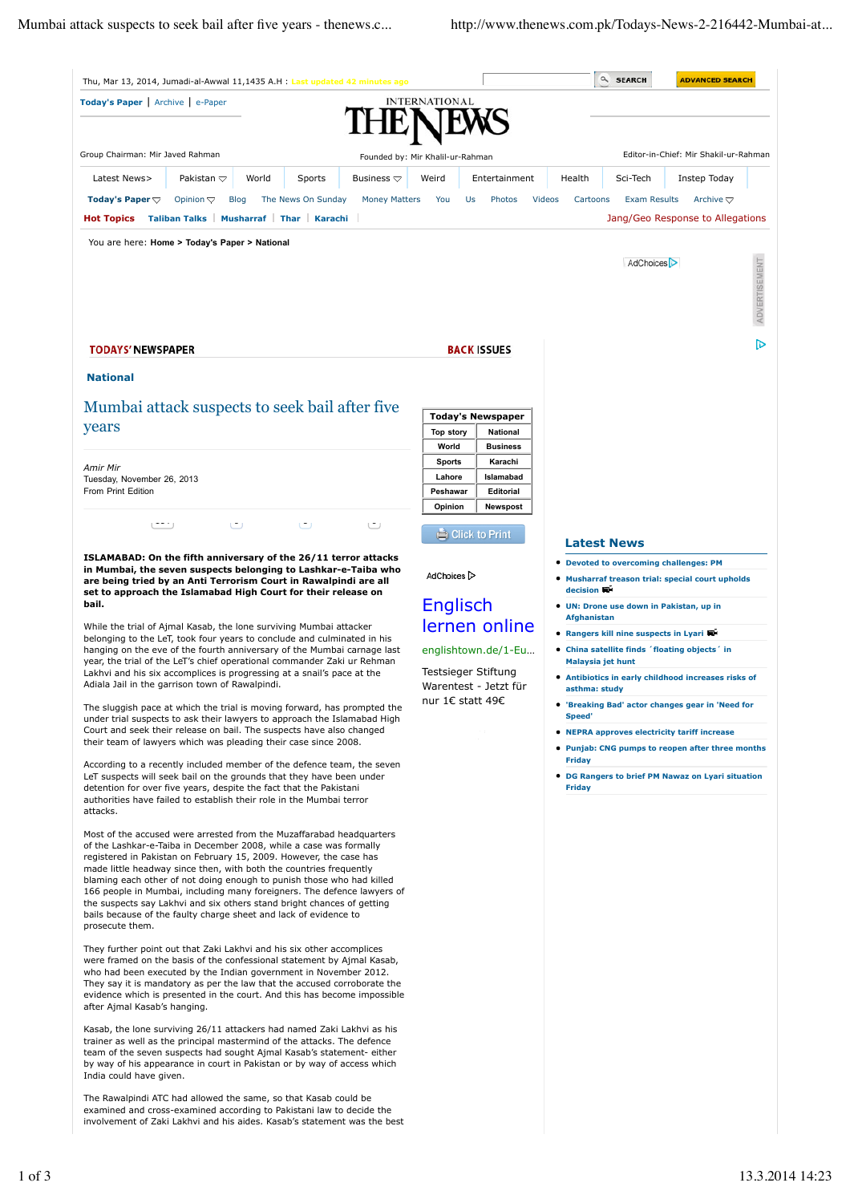| Thu, Mar 13, 2014, Jumadi-al-Awwal 11,1435 A.H : Last updated 42 minutes ago                                                                                                                                                                                                                                                                                                                                                                                                                                                                                                                                                                                  |                                                                                                                             | Q SEARCH                                                                                                        | <b>ADVANCED SEARCH</b>                                         |
|---------------------------------------------------------------------------------------------------------------------------------------------------------------------------------------------------------------------------------------------------------------------------------------------------------------------------------------------------------------------------------------------------------------------------------------------------------------------------------------------------------------------------------------------------------------------------------------------------------------------------------------------------------------|-----------------------------------------------------------------------------------------------------------------------------|-----------------------------------------------------------------------------------------------------------------|----------------------------------------------------------------|
| Today's Paper   Archive   e-Paper                                                                                                                                                                                                                                                                                                                                                                                                                                                                                                                                                                                                                             | <b>INTERNATIONAL</b>                                                                                                        |                                                                                                                 |                                                                |
|                                                                                                                                                                                                                                                                                                                                                                                                                                                                                                                                                                                                                                                               |                                                                                                                             |                                                                                                                 |                                                                |
| Group Chairman: Mir Javed Rahman                                                                                                                                                                                                                                                                                                                                                                                                                                                                                                                                                                                                                              |                                                                                                                             |                                                                                                                 | Editor-in-Chief: Mir Shakil-ur-Rahman                          |
|                                                                                                                                                                                                                                                                                                                                                                                                                                                                                                                                                                                                                                                               | Founded by: Mir Khalil-ur-Rahman                                                                                            |                                                                                                                 |                                                                |
| World<br>Latest News><br>Pakistan $\triangledown$<br>Sports<br>Business $\bigtriangledown$                                                                                                                                                                                                                                                                                                                                                                                                                                                                                                                                                                    | Entertainment<br>Weird                                                                                                      | Health<br>Sci-Tech                                                                                              | Instep Today                                                   |
| Today's Paper $\bigtriangledown$<br><b>Blog</b><br>The News On Sunday<br>Opinion $\bigtriangledown$<br><b>Money Matters</b><br>Musharraf Thar Karachi<br><b>Hot Topics</b><br><b>Taliban Talks</b>                                                                                                                                                                                                                                                                                                                                                                                                                                                            | You<br>Photos<br>Us                                                                                                         | Videos<br>Cartoons<br><b>Exam Results</b>                                                                       | Archive $\bigtriangledown$<br>Jang/Geo Response to Allegations |
|                                                                                                                                                                                                                                                                                                                                                                                                                                                                                                                                                                                                                                                               |                                                                                                                             |                                                                                                                 |                                                                |
| You are here: Home > Today's Paper > National                                                                                                                                                                                                                                                                                                                                                                                                                                                                                                                                                                                                                 |                                                                                                                             |                                                                                                                 |                                                                |
|                                                                                                                                                                                                                                                                                                                                                                                                                                                                                                                                                                                                                                                               |                                                                                                                             | AdChoices <sup>&gt;</sup>                                                                                       |                                                                |
|                                                                                                                                                                                                                                                                                                                                                                                                                                                                                                                                                                                                                                                               |                                                                                                                             |                                                                                                                 | ADVERTISEMENT                                                  |
|                                                                                                                                                                                                                                                                                                                                                                                                                                                                                                                                                                                                                                                               |                                                                                                                             |                                                                                                                 |                                                                |
|                                                                                                                                                                                                                                                                                                                                                                                                                                                                                                                                                                                                                                                               |                                                                                                                             |                                                                                                                 | চ                                                              |
| <b>TODAYS' NEWSPAPER</b>                                                                                                                                                                                                                                                                                                                                                                                                                                                                                                                                                                                                                                      | <b>BACK ISSUES</b>                                                                                                          |                                                                                                                 |                                                                |
| <b>National</b>                                                                                                                                                                                                                                                                                                                                                                                                                                                                                                                                                                                                                                               |                                                                                                                             |                                                                                                                 |                                                                |
| Mumbai attack suspects to seek bail after five                                                                                                                                                                                                                                                                                                                                                                                                                                                                                                                                                                                                                |                                                                                                                             |                                                                                                                 |                                                                |
| years                                                                                                                                                                                                                                                                                                                                                                                                                                                                                                                                                                                                                                                         | <b>Today's Newspaper</b><br>National<br><b>Top story</b>                                                                    |                                                                                                                 |                                                                |
|                                                                                                                                                                                                                                                                                                                                                                                                                                                                                                                                                                                                                                                               | World<br><b>Business</b>                                                                                                    |                                                                                                                 |                                                                |
| Amir Mir                                                                                                                                                                                                                                                                                                                                                                                                                                                                                                                                                                                                                                                      | <b>Sports</b><br>Karachi<br>Islamabad<br>Lahore                                                                             |                                                                                                                 |                                                                |
| Tuesday, November 26, 2013<br>From Print Edition                                                                                                                                                                                                                                                                                                                                                                                                                                                                                                                                                                                                              | Peshawar<br>Editorial                                                                                                       |                                                                                                                 |                                                                |
|                                                                                                                                                                                                                                                                                                                                                                                                                                                                                                                                                                                                                                                               | Opinion<br><b>Newspost</b>                                                                                                  |                                                                                                                 |                                                                |
| $(+ + + +)$<br>٣<br>$\cup$<br>ػ                                                                                                                                                                                                                                                                                                                                                                                                                                                                                                                                                                                                                               | Click to Print                                                                                                              |                                                                                                                 |                                                                |
| ISLAMABAD: On the fifth anniversary of the 26/11 terror attacks                                                                                                                                                                                                                                                                                                                                                                                                                                                                                                                                                                                               |                                                                                                                             | <b>Latest News</b><br><b>Devoted to overcoming challenges: PM</b>                                               |                                                                |
| in Mumbai, the seven suspects belonging to Lashkar-e-Taiba who<br>are being tried by an Anti Terrorism Court in Rawalpindi are all                                                                                                                                                                                                                                                                                                                                                                                                                                                                                                                            | AdChoices <sup>1</sup>                                                                                                      | • Musharraf treason trial: special court upholds                                                                |                                                                |
| set to approach the Islamabad High Court for their release on<br>bail.                                                                                                                                                                                                                                                                                                                                                                                                                                                                                                                                                                                        | Englisch                                                                                                                    | decision WH<br>• UN: Drone use down in Pakistan, up in                                                          |                                                                |
| While the trial of Ajmal Kasab, the lone surviving Mumbai attacker                                                                                                                                                                                                                                                                                                                                                                                                                                                                                                                                                                                            | lernen online                                                                                                               | <b>Afghanistan</b>                                                                                              |                                                                |
| belonging to the LeT, took four years to conclude and culminated in his<br>hanging on the eve of the fourth anniversary of the Mumbai carnage last<br>year, the trial of the LeT's chief operational commander Zaki ur Rehman<br>Lakhvi and his six accomplices is progressing at a snail's pace at the<br>Adiala Jail in the garrison town of Rawalpindi.<br>The sluggish pace at which the trial is moving forward, has prompted the<br>under trial suspects to ask their lawyers to approach the Islamabad High<br>Court and seek their release on bail. The suspects have also changed<br>their team of lawyers which was pleading their case since 2008. |                                                                                                                             | • Rangers kill nine suspects in Lyari<br>• China satellite finds 'floating objects' in<br>Malaysia jet hunt     |                                                                |
|                                                                                                                                                                                                                                                                                                                                                                                                                                                                                                                                                                                                                                                               | englishtown.de/1-Eu                                                                                                         |                                                                                                                 |                                                                |
|                                                                                                                                                                                                                                                                                                                                                                                                                                                                                                                                                                                                                                                               | Testsieger Stiftung<br><b>• Antibiotics in early childhood increases risks of</b><br>Warentest - Jetzt für<br>asthma: study |                                                                                                                 |                                                                |
|                                                                                                                                                                                                                                                                                                                                                                                                                                                                                                                                                                                                                                                               | nur 1€ statt 49€                                                                                                            | 'Breaking Bad' actor changes gear in 'Need for<br><b>Speed'</b><br>• NEPRA approves electricity tariff increase |                                                                |
|                                                                                                                                                                                                                                                                                                                                                                                                                                                                                                                                                                                                                                                               |                                                                                                                             |                                                                                                                 |                                                                |
|                                                                                                                                                                                                                                                                                                                                                                                                                                                                                                                                                                                                                                                               |                                                                                                                             | • Punjab: CNG pumps to reopen after three months                                                                |                                                                |
| According to a recently included member of the defence team, the seven<br>LeT suspects will seek bail on the grounds that they have been under                                                                                                                                                                                                                                                                                                                                                                                                                                                                                                                |                                                                                                                             | Friday<br>• DG Rangers to brief PM Nawaz on Lyari situation                                                     |                                                                |
| detention for over five years, despite the fact that the Pakistani<br>authorities have failed to establish their role in the Mumbai terror                                                                                                                                                                                                                                                                                                                                                                                                                                                                                                                    |                                                                                                                             | <b>Friday</b>                                                                                                   |                                                                |
| attacks.                                                                                                                                                                                                                                                                                                                                                                                                                                                                                                                                                                                                                                                      |                                                                                                                             |                                                                                                                 |                                                                |
| Most of the accused were arrested from the Muzaffarabad headquarters                                                                                                                                                                                                                                                                                                                                                                                                                                                                                                                                                                                          |                                                                                                                             |                                                                                                                 |                                                                |
| of the Lashkar-e-Taiba in December 2008, while a case was formally<br>registered in Pakistan on February 15, 2009. However, the case has                                                                                                                                                                                                                                                                                                                                                                                                                                                                                                                      |                                                                                                                             |                                                                                                                 |                                                                |
| made little headway since then, with both the countries frequently<br>blaming each other of not doing enough to punish those who had killed                                                                                                                                                                                                                                                                                                                                                                                                                                                                                                                   |                                                                                                                             |                                                                                                                 |                                                                |
| 166 people in Mumbai, including many foreigners. The defence lawyers of<br>the suspects say Lakhvi and six others stand bright chances of getting                                                                                                                                                                                                                                                                                                                                                                                                                                                                                                             |                                                                                                                             |                                                                                                                 |                                                                |
| bails because of the faulty charge sheet and lack of evidence to<br>prosecute them.                                                                                                                                                                                                                                                                                                                                                                                                                                                                                                                                                                           |                                                                                                                             |                                                                                                                 |                                                                |
|                                                                                                                                                                                                                                                                                                                                                                                                                                                                                                                                                                                                                                                               |                                                                                                                             |                                                                                                                 |                                                                |
| They further point out that Zaki Lakhvi and his six other accomplices<br>were framed on the basis of the confessional statement by Ajmal Kasab,                                                                                                                                                                                                                                                                                                                                                                                                                                                                                                               |                                                                                                                             |                                                                                                                 |                                                                |
| who had been executed by the Indian government in November 2012.<br>They say it is mandatory as per the law that the accused corroborate the                                                                                                                                                                                                                                                                                                                                                                                                                                                                                                                  |                                                                                                                             |                                                                                                                 |                                                                |
| evidence which is presented in the court. And this has become impossible<br>after Ajmal Kasab's hanging.                                                                                                                                                                                                                                                                                                                                                                                                                                                                                                                                                      |                                                                                                                             |                                                                                                                 |                                                                |
| Kasab, the lone surviving 26/11 attackers had named Zaki Lakhvi as his                                                                                                                                                                                                                                                                                                                                                                                                                                                                                                                                                                                        |                                                                                                                             |                                                                                                                 |                                                                |
| trainer as well as the principal mastermind of the attacks. The defence                                                                                                                                                                                                                                                                                                                                                                                                                                                                                                                                                                                       |                                                                                                                             |                                                                                                                 |                                                                |
| team of the seven suspects had sought Ajmal Kasab's statement- either<br>by way of his appearance in court in Pakistan or by way of access which                                                                                                                                                                                                                                                                                                                                                                                                                                                                                                              |                                                                                                                             |                                                                                                                 |                                                                |
| India could have given.                                                                                                                                                                                                                                                                                                                                                                                                                                                                                                                                                                                                                                       |                                                                                                                             |                                                                                                                 |                                                                |
| The Rawalpindi ATC had allowed the same, so that Kasab could be<br>examined and cross-examined according to Pakistani law to decide the                                                                                                                                                                                                                                                                                                                                                                                                                                                                                                                       |                                                                                                                             |                                                                                                                 |                                                                |
| involvement of Zaki Lakhvi and his aides. Kasab's statement was the best                                                                                                                                                                                                                                                                                                                                                                                                                                                                                                                                                                                      |                                                                                                                             |                                                                                                                 |                                                                |
|                                                                                                                                                                                                                                                                                                                                                                                                                                                                                                                                                                                                                                                               |                                                                                                                             |                                                                                                                 |                                                                |